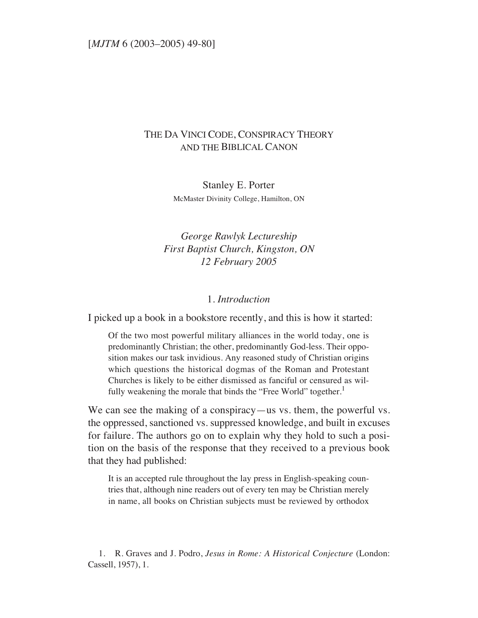## THE DA VINCI CODE, CONSPIRACY THEORY AND THE BIBLICAL CANON

Stanley E. Porter McMaster Divinity College, Hamilton, ON

# *George Rawlyk Lectureship First Baptist Church, Kingston, ON 12 February 2005*

#### 1. *Introduction*

I picked up a book in a bookstore recently, and this is how it started:

Of the two most powerful military alliances in the world today, one is predominantly Christian; the other, predominantly God-less. Their opposition makes our task invidious. Any reasoned study of Christian origins which questions the historical dogmas of the Roman and Protestant Churches is likely to be either dismissed as fanciful or censured as wilfully weakening the morale that binds the "Free World" together.<sup>1</sup>

We can see the making of a conspiracy—us vs. them, the powerful vs. the oppressed, sanctioned vs. suppressed knowledge, and built in excuses for failure. The authors go on to explain why they hold to such a position on the basis of the response that they received to a previous book that they had published:

It is an accepted rule throughout the lay press in English-speaking countries that, although nine readers out of every ten may be Christian merely in name, all books on Christian subjects must be reviewed by orthodox

1. R. Graves and J. Podro, *Jesus in Rome: A Historical Conjecture* (London: Cassell, 1957), 1.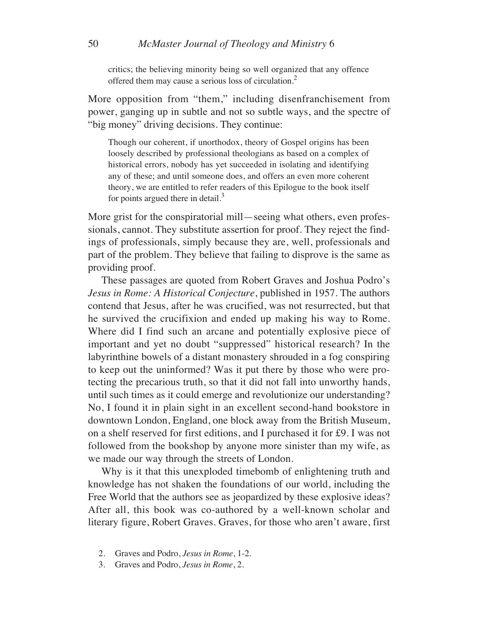critics; the believing minority being so well organized that any offence offered them may cause a serious loss of circulation.<sup>2</sup>

More opposition from "them," including disenfranchisement from power, ganging up in subtle and not so subtle ways, and the spectre of "big money" driving decisions. They continue:

Though our coherent, if unorthodox, theory of Gospel origins has been loosely described by professional theologians as based on a complex of historical errors, nobody has yet succeeded in isolating and identifying any of these; and until someone does, and offers an even more coherent theory, we are entitled to refer readers of this Epilogue to the book itself for points argued there in detail.<sup>3</sup>

More grist for the conspiratorial mill—seeing what others, even professionals, cannot. They substitute assertion for proof. They reject the findings of professionals, simply because they are, well, professionals and part of the problem. They believe that failing to disprove is the same as providing proof.

These passages are quoted from Robert Graves and Joshua Podro's *Jesus in Rome: A Historical Conjecture*, published in 1957. The authors contend that Jesus, after he was crucified, was not resurrected, but that he survived the crucifixion and ended up making his way to Rome. Where did I find such an arcane and potentially explosive piece of important and yet no doubt "suppressed" historical research? In the labyrinthine bowels of a distant monastery shrouded in a fog conspiring to keep out the uninformed? Was it put there by those who were protecting the precarious truth, so that it did not fall into unworthy hands, until such times as it could emerge and revolutionize our understanding? No, I found it in plain sight in an excellent second-hand bookstore in downtown London, England, one block away from the British Museum, on a shelf reserved for first editions, and I purchased it for £9. I was not followed from the bookshop by anyone more sinister than my wife, as we made our way through the streets of London.

Why is it that this unexploded timebomb of enlightening truth and knowledge has not shaken the foundations of our world, including the Free World that the authors see as jeopardized by these explosive ideas? After all, this book was co-authored by a well-known scholar and literary figure, Robert Graves. Graves, for those who aren't aware, first

- 2. Graves and Podro, *Jesus in Rome*, 1-2.
- 3. Graves and Podro, *Jesus in Rome*, 2.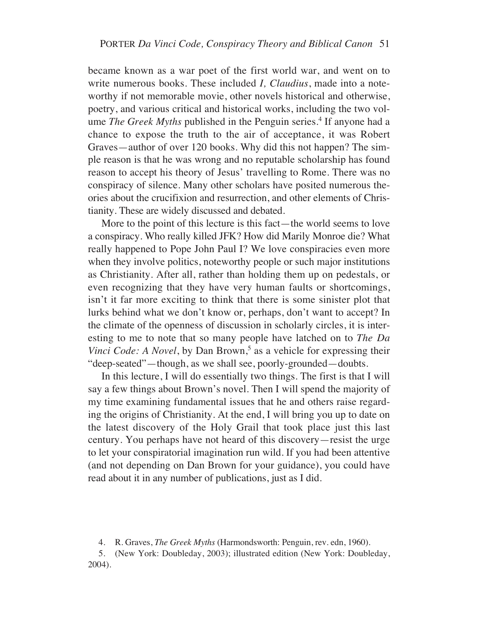became known as a war poet of the first world war, and went on to write numerous books. These included *I, Claudius*, made into a noteworthy if not memorable movie, other novels historical and otherwise, poetry, and various critical and historical works, including the two volume *The Greek Myths* published in the Penguin series.<sup>4</sup> If anyone had a chance to expose the truth to the air of acceptance, it was Robert Graves—author of over 120 books. Why did this not happen? The simple reason is that he was wrong and no reputable scholarship has found reason to accept his theory of Jesus' travelling to Rome. There was no conspiracy of silence. Many other scholars have posited numerous theories about the crucifixion and resurrection, and other elements of Christianity. These are widely discussed and debated.

More to the point of this lecture is this fact—the world seems to love a conspiracy. Who really killed JFK? How did Marily Monroe die? What really happened to Pope John Paul I? We love conspiracies even more when they involve politics, noteworthy people or such major institutions as Christianity. After all, rather than holding them up on pedestals, or even recognizing that they have very human faults or shortcomings, isn't it far more exciting to think that there is some sinister plot that lurks behind what we don't know or, perhaps, don't want to accept? In the climate of the openness of discussion in scholarly circles, it is interesting to me to note that so many people have latched on to *The Da Vinci Code: A Novel*, by Dan Brown,<sup>5</sup> as a vehicle for expressing their "deep-seated"—though, as we shall see, poorly-grounded—doubts.

In this lecture, I will do essentially two things. The first is that I will say a few things about Brown's novel. Then I will spend the majority of my time examining fundamental issues that he and others raise regarding the origins of Christianity. At the end, I will bring you up to date on the latest discovery of the Holy Grail that took place just this last century. You perhaps have not heard of this discovery—resist the urge to let your conspiratorial imagination run wild. If you had been attentive (and not depending on Dan Brown for your guidance), you could have read about it in any number of publications, just as I did.

<sup>4.</sup> R. Graves, *The Greek Myths* (Harmondsworth: Penguin, rev. edn, 1960).

<sup>5.</sup> (New York: Doubleday, 2003); illustrated edition (New York: Doubleday, 2004).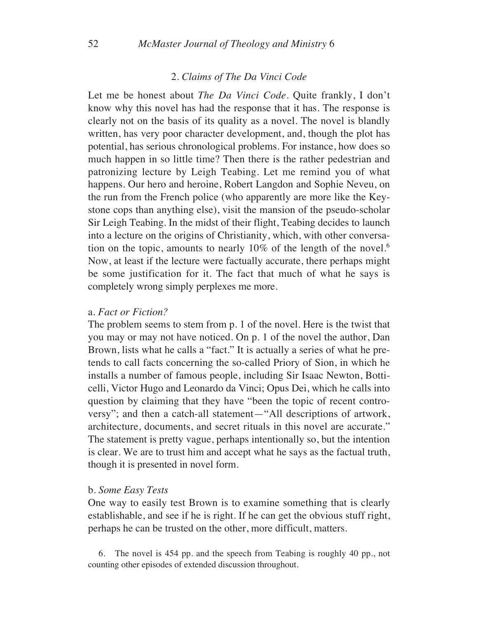### 2. *Claims of The Da Vinci Code*

Let me be honest about *The Da Vinci Code*. Quite frankly, I don't know why this novel has had the response that it has. The response is clearly not on the basis of its quality as a novel. The novel is blandly written, has very poor character development, and, though the plot has potential, has serious chronological problems. For instance, how does so much happen in so little time? Then there is the rather pedestrian and patronizing lecture by Leigh Teabing. Let me remind you of what happens. Our hero and heroine, Robert Langdon and Sophie Neveu, on the run from the French police (who apparently are more like the Keystone cops than anything else), visit the mansion of the pseudo-scholar Sir Leigh Teabing. In the midst of their flight, Teabing decides to launch into a lecture on the origins of Christianity, which, with other conversation on the topic, amounts to nearly  $10\%$  of the length of the novel.<sup>6</sup> Now, at least if the lecture were factually accurate, there perhaps might be some justification for it. The fact that much of what he says is completely wrong simply perplexes me more.

#### a. *Fact or Fiction?*

The problem seems to stem from p. 1 of the novel. Here is the twist that you may or may not have noticed. On p. 1 of the novel the author, Dan Brown, lists what he calls a "fact." It is actually a series of what he pretends to call facts concerning the so-called Priory of Sion, in which he installs a number of famous people, including Sir Isaac Newton, Botticelli, Victor Hugo and Leonardo da Vinci; Opus Dei, which he calls into question by claiming that they have "been the topic of recent controversy"; and then a catch-all statement—"All descriptions of artwork, architecture, documents, and secret rituals in this novel are accurate." The statement is pretty vague, perhaps intentionally so, but the intention is clear. We are to trust him and accept what he says as the factual truth, though it is presented in novel form.

#### b. *Some Easy Tests*

One way to easily test Brown is to examine something that is clearly establishable, and see if he is right. If he can get the obvious stuff right, perhaps he can be trusted on the other, more difficult, matters.

6. The novel is 454 pp. and the speech from Teabing is roughly 40 pp., not counting other episodes of extended discussion throughout.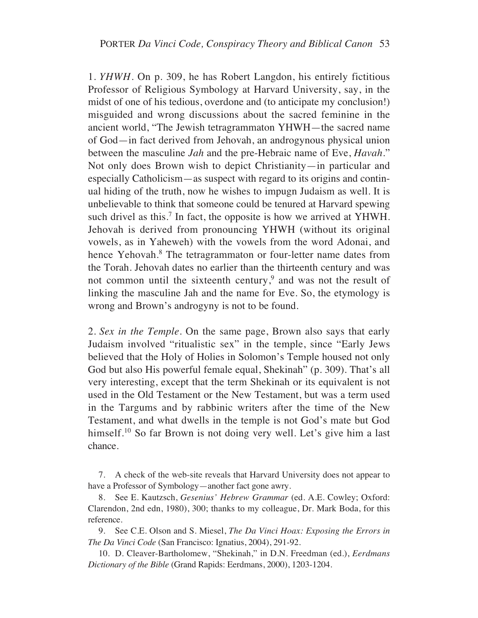1. *YHWH*. On p. 309, he has Robert Langdon, his entirely fictitious Professor of Religious Symbology at Harvard University, say, in the midst of one of his tedious, overdone and (to anticipate my conclusion!) misguided and wrong discussions about the sacred feminine in the ancient world, "The Jewish tetragrammaton YHWH—the sacred name of God—in fact derived from Jehovah, an androgynous physical union between the masculine *Jah* and the pre-Hebraic name of Eve, *Havah*." Not only does Brown wish to depict Christianity—in particular and especially Catholicism—as suspect with regard to its origins and continual hiding of the truth, now he wishes to impugn Judaism as well. It is unbelievable to think that someone could be tenured at Harvard spewing such drivel as this.<sup>7</sup> In fact, the opposite is how we arrived at YHWH. Jehovah is derived from pronouncing YHWH (without its original vowels, as in Yaheweh) with the vowels from the word Adonai, and hence Yehovah.<sup>8</sup> The tetragrammaton or four-letter name dates from the Torah. Jehovah dates no earlier than the thirteenth century and was not common until the sixteenth century,<sup>9</sup> and was not the result of linking the masculine Jah and the name for Eve. So, the etymology is wrong and Brown's androgyny is not to be found.

2. *Sex in the Temple*. On the same page, Brown also says that early Judaism involved "ritualistic sex" in the temple, since "Early Jews believed that the Holy of Holies in Solomon's Temple housed not only God but also His powerful female equal, Shekinah" (p. 309). That's all very interesting, except that the term Shekinah or its equivalent is not used in the Old Testament or the New Testament, but was a term used in the Targums and by rabbinic writers after the time of the New Testament, and what dwells in the temple is not God's mate but God himself.<sup>10</sup> So far Brown is not doing very well. Let's give him a last chance.

7. A check of the web-site reveals that Harvard University does not appear to have a Professor of Symbology—another fact gone awry.

8. See E. Kautzsch, *Gesenius' Hebrew Grammar* (ed. A.E. Cowley; Oxford: Clarendon, 2nd edn, 1980), 300; thanks to my colleague, Dr. Mark Boda, for this reference.

9. See C.E. Olson and S. Miesel, *The Da Vinci Hoax: Exposing the Errors in The Da Vinci Code* (San Francisco: Ignatius, 2004), 291-92.

10. D. Cleaver-Bartholomew, "Shekinah," in D.N. Freedman (ed.), *Eerdmans Dictionary of the Bible* (Grand Rapids: Eerdmans, 2000), 1203-1204.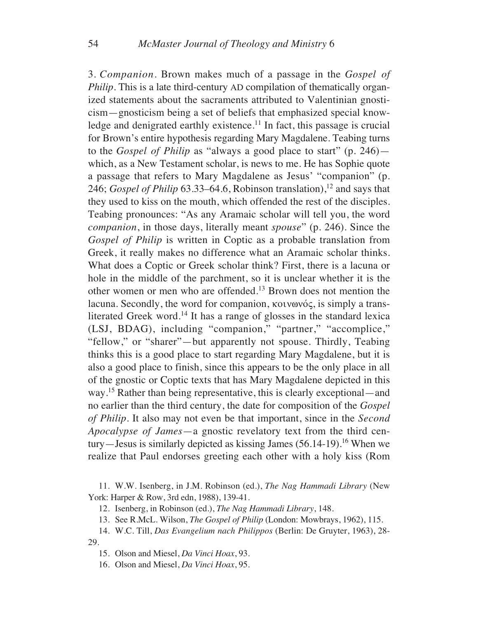3. *Companion*. Brown makes much of a passage in the *Gospel of Philip*. This is a late third-century AD compilation of thematically organized statements about the sacraments attributed to Valentinian gnosticism—gnosticism being a set of beliefs that emphasized special knowledge and denigrated earthly existence.<sup>11</sup> In fact, this passage is crucial for Brown's entire hypothesis regarding Mary Magdalene. Teabing turns to the *Gospel of Philip* as "always a good place to start" (p. 246) which, as a New Testament scholar, is news to me. He has Sophie quote a passage that refers to Mary Magdalene as Jesus' "companion" (p. 246; *Gospel of Philip* 63.33–64.6, Robinson translation),<sup>12</sup> and says that they used to kiss on the mouth, which offended the rest of the disciples. Teabing pronounces: "As any Aramaic scholar will tell you, the word *companion*, in those days, literally meant *spouse*" (p. 246). Since the *Gospel of Philip* is written in Coptic as a probable translation from Greek, it really makes no difference what an Aramaic scholar thinks. What does a Coptic or Greek scholar think? First, there is a lacuna or hole in the middle of the parchment, so it is unclear whether it is the other women or men who are offended.13 Brown does not mention the lacuna. Secondly, the word for companion,  $\kappa$ otvovóc, is simply a transliterated Greek word.<sup>14</sup> It has a range of glosses in the standard lexica (LSJ, BDAG), including "companion," "partner," "accomplice," "fellow," or "sharer"—but apparently not spouse. Thirdly, Teabing thinks this is a good place to start regarding Mary Magdalene, but it is also a good place to finish, since this appears to be the only place in all of the gnostic or Coptic texts that has Mary Magdalene depicted in this way.15 Rather than being representative, this is clearly exceptional—and no earlier than the third century, the date for composition of the *Gospel of Philip*. It also may not even be that important, since in the *Second Apocalypse of James*—a gnostic revelatory text from the third century—Jesus is similarly depicted as kissing James (56.14-19).<sup>16</sup> When we realize that Paul endorses greeting each other with a holy kiss (Rom

11. W.W. Isenberg, in J.M. Robinson (ed.), *The Nag Hammadi Library* (New York: Harper & Row, 3rd edn, 1988), 139-41.

12. Isenberg, in Robinson (ed.), *The Nag Hammadi Library*, 148.

13. See R.McL. Wilson, *The Gospel of Philip* (London: Mowbrays, 1962), 115.

14. W.C. Till, *Das Evangelium nach Philippos* (Berlin: De Gruyter, 1963), 28- 29.

15. Olson and Miesel, *Da Vinci Hoax*, 93.

16. Olson and Miesel, *Da Vinci Hoax*, 95.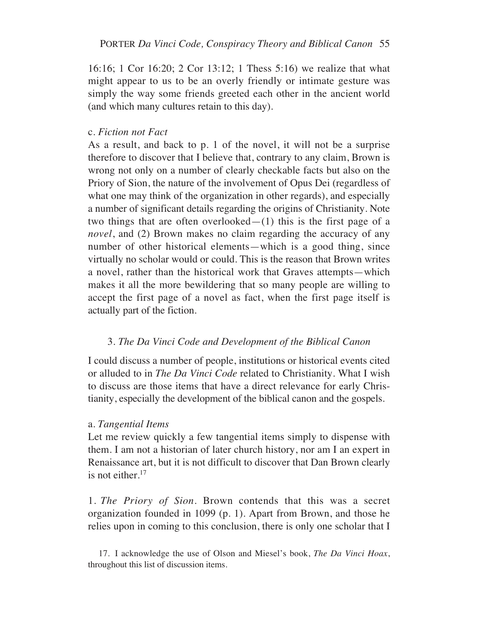16:16; 1 Cor 16:20; 2 Cor 13:12; 1 Thess 5:16) we realize that what might appear to us to be an overly friendly or intimate gesture was simply the way some friends greeted each other in the ancient world (and which many cultures retain to this day).

### c. *Fiction not Fact*

As a result, and back to p. 1 of the novel, it will not be a surprise therefore to discover that I believe that, contrary to any claim, Brown is wrong not only on a number of clearly checkable facts but also on the Priory of Sion, the nature of the involvement of Opus Dei (regardless of what one may think of the organization in other regards), and especially a number of significant details regarding the origins of Christianity. Note two things that are often overlooked— $(1)$  this is the first page of a *novel*, and (2) Brown makes no claim regarding the accuracy of any number of other historical elements—which is a good thing, since virtually no scholar would or could. This is the reason that Brown writes a novel, rather than the historical work that Graves attempts—which makes it all the more bewildering that so many people are willing to accept the first page of a novel as fact, when the first page itself is actually part of the fiction.

## 3. *The Da Vinci Code and Development of the Biblical Canon*

I could discuss a number of people, institutions or historical events cited or alluded to in *The Da Vinci Code* related to Christianity. What I wish to discuss are those items that have a direct relevance for early Christianity, especially the development of the biblical canon and the gospels.

## a. *Tangential Items*

Let me review quickly a few tangential items simply to dispense with them. I am not a historian of later church history, nor am I an expert in Renaissance art, but it is not difficult to discover that Dan Brown clearly is not either. $17$ 

1. *The Priory of Sion*. Brown contends that this was a secret organization founded in 1099 (p. 1). Apart from Brown, and those he relies upon in coming to this conclusion, there is only one scholar that I

17. I acknowledge the use of Olson and Miesel's book, *The Da Vinci Hoax*, throughout this list of discussion items.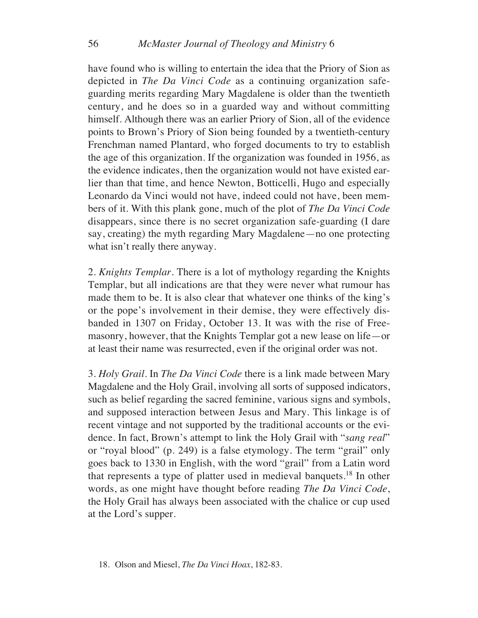have found who is willing to entertain the idea that the Priory of Sion as depicted in *The Da Vinci Code* as a continuing organization safeguarding merits regarding Mary Magdalene is older than the twentieth century, and he does so in a guarded way and without committing himself. Although there was an earlier Priory of Sion, all of the evidence points to Brown's Priory of Sion being founded by a twentieth-century Frenchman named Plantard, who forged documents to try to establish the age of this organization. If the organization was founded in 1956, as the evidence indicates, then the organization would not have existed earlier than that time, and hence Newton, Botticelli, Hugo and especially Leonardo da Vinci would not have, indeed could not have, been members of it. With this plank gone, much of the plot of *The Da Vinci Code* disappears, since there is no secret organization safe-guarding (I dare say, creating) the myth regarding Mary Magdalene—no one protecting what isn't really there anyway.

2. *Knights Templar*. There is a lot of mythology regarding the Knights Templar, but all indications are that they were never what rumour has made them to be. It is also clear that whatever one thinks of the king's or the pope's involvement in their demise, they were effectively disbanded in 1307 on Friday, October 13. It was with the rise of Freemasonry, however, that the Knights Templar got a new lease on life—or at least their name was resurrected, even if the original order was not.

3. *Holy Grail*. In *The Da Vinci Code* there is a link made between Mary Magdalene and the Holy Grail, involving all sorts of supposed indicators, such as belief regarding the sacred feminine, various signs and symbols, and supposed interaction between Jesus and Mary. This linkage is of recent vintage and not supported by the traditional accounts or the evidence. In fact, Brown's attempt to link the Holy Grail with "*sang real*" or "royal blood" (p. 249) is a false etymology. The term "grail" only goes back to 1330 in English, with the word "grail" from a Latin word that represents a type of platter used in medieval banquets.18 In other words, as one might have thought before reading *The Da Vinci Code*, the Holy Grail has always been associated with the chalice or cup used at the Lord's supper.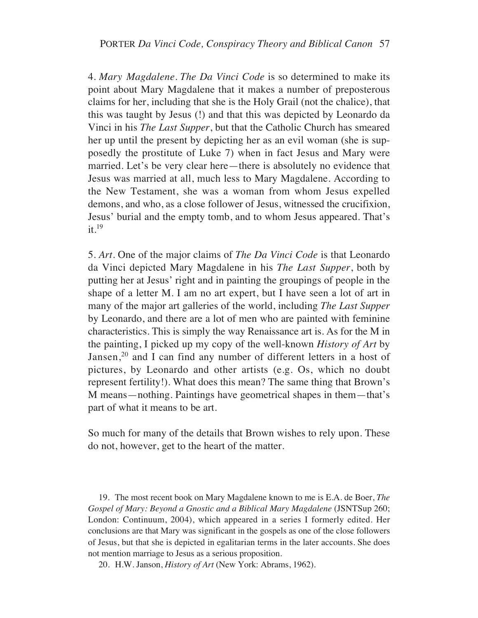4. *Mary Magdalene*. *The Da Vinci Code* is so determined to make its point about Mary Magdalene that it makes a number of preposterous claims for her, including that she is the Holy Grail (not the chalice), that this was taught by Jesus (!) and that this was depicted by Leonardo da Vinci in his *The Last Supper*, but that the Catholic Church has smeared her up until the present by depicting her as an evil woman (she is supposedly the prostitute of Luke 7) when in fact Jesus and Mary were married. Let's be very clear here—there is absolutely no evidence that Jesus was married at all, much less to Mary Magdalene. According to the New Testament, she was a woman from whom Jesus expelled demons, and who, as a close follower of Jesus, witnessed the crucifixion, Jesus' burial and the empty tomb, and to whom Jesus appeared. That's  $it.<sup>19</sup>$ 

5. *Art*. One of the major claims of *The Da Vinci Code* is that Leonardo da Vinci depicted Mary Magdalene in his *The Last Supper*, both by putting her at Jesus' right and in painting the groupings of people in the shape of a letter M. I am no art expert, but I have seen a lot of art in many of the major art galleries of the world, including *The Last Supper* by Leonardo, and there are a lot of men who are painted with feminine characteristics. This is simply the way Renaissance art is. As for the M in the painting, I picked up my copy of the well-known *History of Art* by Jansen,<sup>20</sup> and I can find any number of different letters in a host of pictures, by Leonardo and other artists (e.g. Os, which no doubt represent fertility!). What does this mean? The same thing that Brown's M means—nothing. Paintings have geometrical shapes in them—that's part of what it means to be art.

So much for many of the details that Brown wishes to rely upon. These do not, however, get to the heart of the matter.

19. The most recent book on Mary Magdalene known to me is E.A. de Boer, *The Gospel of Mary: Beyond a Gnostic and a Biblical Mary Magdalene* (JSNTSup 260; London: Continuum, 2004), which appeared in a series I formerly edited. Her conclusions are that Mary was significant in the gospels as one of the close followers of Jesus, but that she is depicted in egalitarian terms in the later accounts. She does not mention marriage to Jesus as a serious proposition.

20. H.W. Janson, *History of Art* (New York: Abrams, 1962).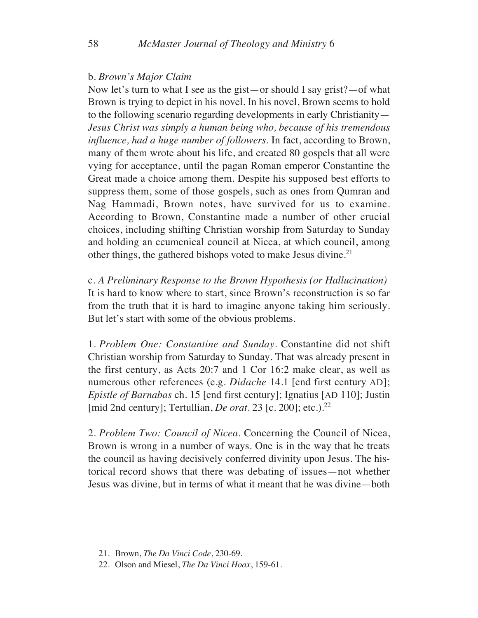### b. *Brown's Major Claim*

Now let's turn to what I see as the gist—or should I say grist?—of what Brown is trying to depict in his novel. In his novel, Brown seems to hold to the following scenario regarding developments in early Christianity— *Jesus Christ was simply a human being who, because of his tremendous influence, had a huge number of followers*. In fact, according to Brown, many of them wrote about his life, and created 80 gospels that all were vying for acceptance, until the pagan Roman emperor Constantine the Great made a choice among them. Despite his supposed best efforts to suppress them, some of those gospels, such as ones from Qumran and Nag Hammadi, Brown notes, have survived for us to examine. According to Brown, Constantine made a number of other crucial choices, including shifting Christian worship from Saturday to Sunday and holding an ecumenical council at Nicea, at which council, among other things, the gathered bishops voted to make Jesus divine.<sup>21</sup>

c. *A Preliminary Response to the Brown Hypothesis (or Hallucination)* It is hard to know where to start, since Brown's reconstruction is so far from the truth that it is hard to imagine anyone taking him seriously. But let's start with some of the obvious problems.

1. *Problem One: Constantine and Sunday*. Constantine did not shift Christian worship from Saturday to Sunday. That was already present in the first century, as Acts 20:7 and 1 Cor 16:2 make clear, as well as numerous other references (e.g. *Didache* 14.1 [end first century AD]; *Epistle of Barnabas* ch. 15 [end first century]; Ignatius [AD 110]; Justin [mid 2nd century]; Tertullian, *De orat.* 23 [c. 200]; etc.).<sup>22</sup>

2. *Problem Two: Council of Nicea*. Concerning the Council of Nicea, Brown is wrong in a number of ways. One is in the way that he treats the council as having decisively conferred divinity upon Jesus. The historical record shows that there was debating of issues—not whether Jesus was divine, but in terms of what it meant that he was divine—both

- 21. Brown, *The Da Vinci Code*, 230-69.
- 22. Olson and Miesel, *The Da Vinci Hoax*, 159-61.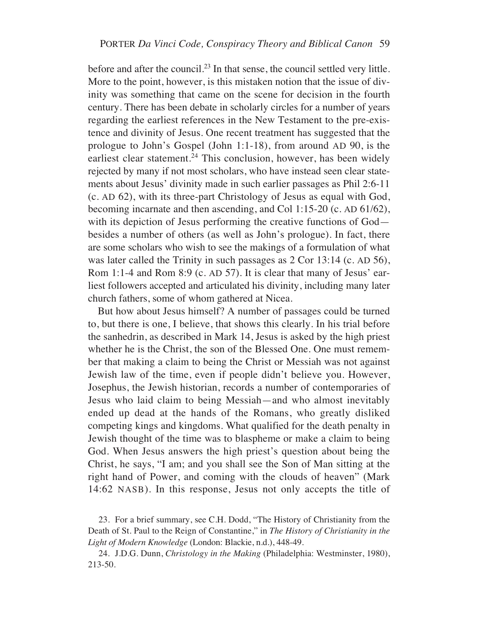before and after the council.<sup>23</sup> In that sense, the council settled very little. More to the point, however, is this mistaken notion that the issue of divinity was something that came on the scene for decision in the fourth century. There has been debate in scholarly circles for a number of years regarding the earliest references in the New Testament to the pre-existence and divinity of Jesus. One recent treatment has suggested that the prologue to John's Gospel (John 1:1-18), from around AD 90, is the earliest clear statement.<sup>24</sup> This conclusion, however, has been widely rejected by many if not most scholars, who have instead seen clear statements about Jesus' divinity made in such earlier passages as Phil 2:6-11 (c. AD 62), with its three-part Christology of Jesus as equal with God, becoming incarnate and then ascending, and Col 1:15-20 (c. AD 61/62), with its depiction of Jesus performing the creative functions of God besides a number of others (as well as John's prologue). In fact, there are some scholars who wish to see the makings of a formulation of what was later called the Trinity in such passages as 2 Cor 13:14 (c. AD 56), Rom 1:1-4 and Rom 8:9 (c. AD 57). It is clear that many of Jesus' earliest followers accepted and articulated his divinity, including many later church fathers, some of whom gathered at Nicea.

But how about Jesus himself? A number of passages could be turned to, but there is one, I believe, that shows this clearly. In his trial before the sanhedrin, as described in Mark 14, Jesus is asked by the high priest whether he is the Christ, the son of the Blessed One. One must remember that making a claim to being the Christ or Messiah was not against Jewish law of the time, even if people didn't believe you. However, Josephus, the Jewish historian, records a number of contemporaries of Jesus who laid claim to being Messiah—and who almost inevitably ended up dead at the hands of the Romans, who greatly disliked competing kings and kingdoms. What qualified for the death penalty in Jewish thought of the time was to blaspheme or make a claim to being God. When Jesus answers the high priest's question about being the Christ, he says, "I am; and you shall see the Son of Man sitting at the right hand of Power, and coming with the clouds of heaven" (Mark 14:62 NASB). In this response, Jesus not only accepts the title of

<sup>23.</sup> For a brief summary, see C.H. Dodd, "The History of Christianity from the Death of St. Paul to the Reign of Constantine," in *The History of Christianity in the Light of Modern Knowledge* (London: Blackie, n.d.), 448-49.

<sup>24.</sup> J.D.G. Dunn, *Christology in the Making* (Philadelphia: Westminster, 1980), 213-50.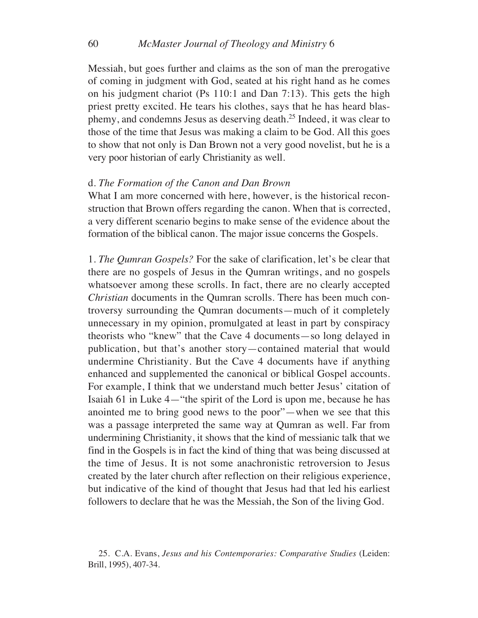Messiah, but goes further and claims as the son of man the prerogative of coming in judgment with God, seated at his right hand as he comes on his judgment chariot (Ps 110:1 and Dan 7:13). This gets the high priest pretty excited. He tears his clothes, says that he has heard blasphemy, and condemns Jesus as deserving death.25 Indeed, it was clear to those of the time that Jesus was making a claim to be God. All this goes to show that not only is Dan Brown not a very good novelist, but he is a very poor historian of early Christianity as well.

#### d. *The Formation of the Canon and Dan Brown*

What I am more concerned with here, however, is the historical reconstruction that Brown offers regarding the canon. When that is corrected, a very different scenario begins to make sense of the evidence about the formation of the biblical canon. The major issue concerns the Gospels.

1. *The Qumran Gospels?* For the sake of clarification, let's be clear that there are no gospels of Jesus in the Qumran writings, and no gospels whatsoever among these scrolls. In fact, there are no clearly accepted *Christian* documents in the Qumran scrolls. There has been much controversy surrounding the Qumran documents—much of it completely unnecessary in my opinion, promulgated at least in part by conspiracy theorists who "knew" that the Cave 4 documents—so long delayed in publication, but that's another story—contained material that would undermine Christianity. But the Cave 4 documents have if anything enhanced and supplemented the canonical or biblical Gospel accounts. For example, I think that we understand much better Jesus' citation of Isaiah 61 in Luke 4—"the spirit of the Lord is upon me, because he has anointed me to bring good news to the poor"—when we see that this was a passage interpreted the same way at Qumran as well. Far from undermining Christianity, it shows that the kind of messianic talk that we find in the Gospels is in fact the kind of thing that was being discussed at the time of Jesus. It is not some anachronistic retroversion to Jesus created by the later church after reflection on their religious experience, but indicative of the kind of thought that Jesus had that led his earliest followers to declare that he was the Messiah, the Son of the living God.

<sup>25.</sup> C.A. Evans, *Jesus and his Contemporaries: Comparative Studies* (Leiden: Brill, 1995), 407-34.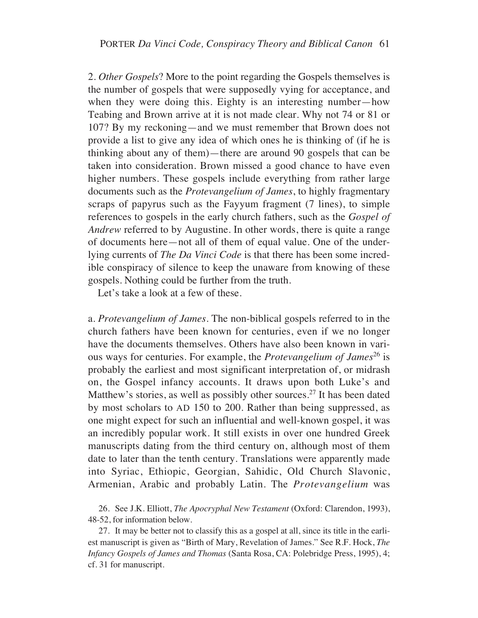2. *Other Gospels*? More to the point regarding the Gospels themselves is the number of gospels that were supposedly vying for acceptance, and when they were doing this. Eighty is an interesting number—how Teabing and Brown arrive at it is not made clear. Why not 74 or 81 or 107? By my reckoning—and we must remember that Brown does not provide a list to give any idea of which ones he is thinking of (if he is thinking about any of them)—there are around 90 gospels that can be taken into consideration. Brown missed a good chance to have even higher numbers. These gospels include everything from rather large documents such as the *Protevangelium of James*, to highly fragmentary scraps of papyrus such as the Fayyum fragment (7 lines), to simple references to gospels in the early church fathers, such as the *Gospel of Andrew* referred to by Augustine. In other words, there is quite a range of documents here—not all of them of equal value. One of the underlying currents of *The Da Vinci Code* is that there has been some incredible conspiracy of silence to keep the unaware from knowing of these gospels. Nothing could be further from the truth.

Let's take a look at a few of these.

a. *Protevangelium of James*. The non-biblical gospels referred to in the church fathers have been known for centuries, even if we no longer have the documents themselves. Others have also been known in various ways for centuries. For example, the *Protevangelium of James*<sup>26</sup> is probably the earliest and most significant interpretation of, or midrash on, the Gospel infancy accounts. It draws upon both Luke's and Matthew's stories, as well as possibly other sources.<sup>27</sup> It has been dated by most scholars to AD 150 to 200. Rather than being suppressed, as one might expect for such an influential and well-known gospel, it was an incredibly popular work. It still exists in over one hundred Greek manuscripts dating from the third century on, although most of them date to later than the tenth century. Translations were apparently made into Syriac, Ethiopic, Georgian, Sahidic, Old Church Slavonic, Armenian, Arabic and probably Latin. The *Protevangelium* was

26. See J.K. Elliott, *The Apocryphal New Testament* (Oxford: Clarendon, 1993), 48-52, for information below.

27. It may be better not to classify this as a gospel at all, since its title in the earliest manuscript is given as "Birth of Mary, Revelation of James." See R.F. Hock, *The Infancy Gospels of James and Thomas* (Santa Rosa, CA: Polebridge Press, 1995), 4; cf. 31 for manuscript.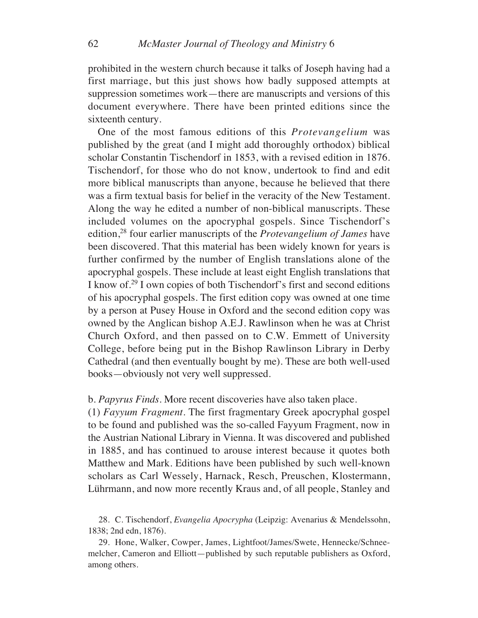prohibited in the western church because it talks of Joseph having had a first marriage, but this just shows how badly supposed attempts at suppression sometimes work—there are manuscripts and versions of this document everywhere. There have been printed editions since the sixteenth century.

One of the most famous editions of this *Protevangelium* was published by the great (and I might add thoroughly orthodox) biblical scholar Constantin Tischendorf in 1853, with a revised edition in 1876. Tischendorf, for those who do not know, undertook to find and edit more biblical manuscripts than anyone, because he believed that there was a firm textual basis for belief in the veracity of the New Testament. Along the way he edited a number of non-biblical manuscripts. These included volumes on the apocryphal gospels. Since Tischendorf's edition,28 four earlier manuscripts of the *Protevangelium of James* have been discovered. That this material has been widely known for years is further confirmed by the number of English translations alone of the apocryphal gospels. These include at least eight English translations that I know of.29 I own copies of both Tischendorf's first and second editions of his apocryphal gospels. The first edition copy was owned at one time by a person at Pusey House in Oxford and the second edition copy was owned by the Anglican bishop A.E.J. Rawlinson when he was at Christ Church Oxford, and then passed on to C.W. Emmett of University College, before being put in the Bishop Rawlinson Library in Derby Cathedral (and then eventually bought by me). These are both well-used books—obviously not very well suppressed.

### b. *Papyrus Finds*. More recent discoveries have also taken place.

(1) *Fayyum Fragment*. The first fragmentary Greek apocryphal gospel to be found and published was the so-called Fayyum Fragment, now in the Austrian National Library in Vienna. It was discovered and published in 1885, and has continued to arouse interest because it quotes both Matthew and Mark. Editions have been published by such well-known scholars as Carl Wessely, Harnack, Resch, Preuschen, Klostermann, Lührmann, and now more recently Kraus and, of all people, Stanley and

28. C. Tischendorf, *Evangelia Apocrypha* (Leipzig: Avenarius & Mendelssohn, 1838; 2nd edn, 1876).

29. Hone, Walker, Cowper, James, Lightfoot/James/Swete, Hennecke/Schneemelcher, Cameron and Elliott—published by such reputable publishers as Oxford, among others.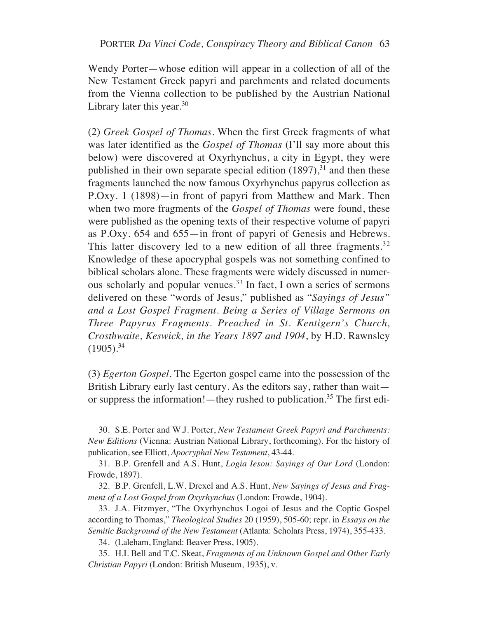Wendy Porter—whose edition will appear in a collection of all of the New Testament Greek papyri and parchments and related documents from the Vienna collection to be published by the Austrian National Library later this year. $30$ 

(2) *Greek Gospel of Thomas*. When the first Greek fragments of what was later identified as the *Gospel of Thomas* (I'll say more about this below) were discovered at Oxyrhynchus, a city in Egypt, they were published in their own separate special edition  $(1897)$ ,<sup>31</sup> and then these fragments launched the now famous Oxyrhynchus papyrus collection as P.Oxy. 1 (1898)—in front of papyri from Matthew and Mark. Then when two more fragments of the *Gospel of Thomas* were found, these were published as the opening texts of their respective volume of papyri as P.Oxy. 654 and 655—in front of papyri of Genesis and Hebrews. This latter discovery led to a new edition of all three fragments.<sup>32</sup> Knowledge of these apocryphal gospels was not something confined to biblical scholars alone. These fragments were widely discussed in numerous scholarly and popular venues.33 In fact, I own a series of sermons delivered on these "words of Jesus," published as "*Sayings of Jesus" and a Lost Gospel Fragment. Being a Series of Village Sermons on Three Papyrus Fragments. Preached in St. Kentigern's Church, Crosthwaite, Keswick, in the Years 1897 and 1904*, by H.D. Rawnsley  $(1905).^{34}$ 

(3) *Egerton Gospel*. The Egerton gospel came into the possession of the British Library early last century. As the editors say, rather than wait or suppress the information!—they rushed to publication.<sup>35</sup> The first edi-

30. S.E. Porter and W.J. Porter, *New Testament Greek Papyri and Parchments: New Editions* (Vienna: Austrian National Library, forthcoming). For the history of publication, see Elliott, *Apocryphal New Testament*, 43-44.

31. B.P. Grenfell and A.S. Hunt, *Logia Iesou: Sayings of Our Lord* (London: Frowde, 1897).

32. B.P. Grenfell, L.W. Drexel and A.S. Hunt, *New Sayings of Jesus and Fragment of a Lost Gospel from Oxyrhynchus* (London: Frowde, 1904).

33. J.A. Fitzmyer, "The Oxyrhynchus Logoi of Jesus and the Coptic Gospel according to Thomas," *Theological Studies* 20 (1959), 505-60; repr. in *Essays on the Semitic Background of the New Testament* (Atlanta: Scholars Press, 1974), 355-433.

34. (Laleham, England: Beaver Press, 1905).

35. H.I. Bell and T.C. Skeat, *Fragments of an Unknown Gospel and Other Early Christian Papyri* (London: British Museum, 1935), v.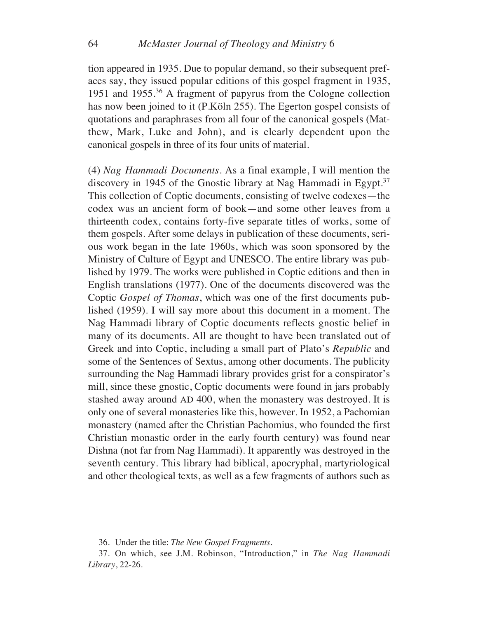tion appeared in 1935. Due to popular demand, so their subsequent prefaces say, they issued popular editions of this gospel fragment in 1935, 1951 and 1955.36 A fragment of papyrus from the Cologne collection has now been joined to it (P.Köln 255). The Egerton gospel consists of quotations and paraphrases from all four of the canonical gospels (Matthew, Mark, Luke and John), and is clearly dependent upon the canonical gospels in three of its four units of material.

(4) *Nag Hammadi Documents*. As a final example, I will mention the discovery in 1945 of the Gnostic library at Nag Hammadi in Egypt.<sup>37</sup> This collection of Coptic documents, consisting of twelve codexes—the codex was an ancient form of book—and some other leaves from a thirteenth codex, contains forty-five separate titles of works, some of them gospels. After some delays in publication of these documents, serious work began in the late 1960s, which was soon sponsored by the Ministry of Culture of Egypt and UNESCO. The entire library was published by 1979. The works were published in Coptic editions and then in English translations (1977). One of the documents discovered was the Coptic *Gospel of Thomas*, which was one of the first documents published (1959). I will say more about this document in a moment. The Nag Hammadi library of Coptic documents reflects gnostic belief in many of its documents. All are thought to have been translated out of Greek and into Coptic, including a small part of Plato's *Republic* and some of the Sentences of Sextus, among other documents. The publicity surrounding the Nag Hammadi library provides grist for a conspirator's mill, since these gnostic, Coptic documents were found in jars probably stashed away around AD 400, when the monastery was destroyed. It is only one of several monasteries like this, however. In 1952, a Pachomian monastery (named after the Christian Pachomius, who founded the first Christian monastic order in the early fourth century) was found near Dishna (not far from Nag Hammadi). It apparently was destroyed in the seventh century. This library had biblical, apocryphal, martyriological and other theological texts, as well as a few fragments of authors such as

<sup>36.</sup> Under the title: *The New Gospel Fragments*.

<sup>37.</sup> On which, see J.M. Robinson, "Introduction," in *The Nag Hammadi Library*, 22-26.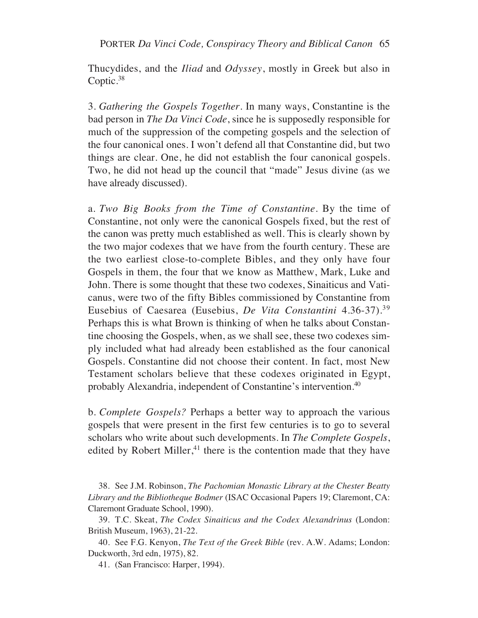Thucydides, and the *Iliad* and *Odyssey*, mostly in Greek but also in Coptic.38

3. *Gathering the Gospels Together*. In many ways, Constantine is the bad person in *The Da Vinci Code*, since he is supposedly responsible for much of the suppression of the competing gospels and the selection of the four canonical ones. I won't defend all that Constantine did, but two things are clear. One, he did not establish the four canonical gospels. Two, he did not head up the council that "made" Jesus divine (as we have already discussed).

a. *Two Big Books from the Time of Constantine*. By the time of Constantine, not only were the canonical Gospels fixed, but the rest of the canon was pretty much established as well. This is clearly shown by the two major codexes that we have from the fourth century. These are the two earliest close-to-complete Bibles, and they only have four Gospels in them, the four that we know as Matthew, Mark, Luke and John. There is some thought that these two codexes, Sinaiticus and Vaticanus, were two of the fifty Bibles commissioned by Constantine from Eusebius of Caesarea (Eusebius, *De Vita Constantini* 4.36-37).39 Perhaps this is what Brown is thinking of when he talks about Constantine choosing the Gospels, when, as we shall see, these two codexes simply included what had already been established as the four canonical Gospels. Constantine did not choose their content. In fact, most New Testament scholars believe that these codexes originated in Egypt, probably Alexandria, independent of Constantine's intervention.40

b. *Complete Gospels?* Perhaps a better way to approach the various gospels that were present in the first few centuries is to go to several scholars who write about such developments. In *The Complete Gospels*, edited by Robert Miller, $41$  there is the contention made that they have

38. See J.M. Robinson, *The Pachomian Monastic Library at the Chester Beatty Library and the Bibliotheque Bodmer* (ISAC Occasional Papers 19; Claremont, CA: Claremont Graduate School, 1990).

39. T.C. Skeat, *The Codex Sinaiticus and the Codex Alexandrinus* (London: British Museum, 1963), 21-22.

40. See F.G. Kenyon, *The Text of the Greek Bible* (rev. A.W. Adams; London: Duckworth, 3rd edn, 1975), 82.

41. (San Francisco: Harper, 1994).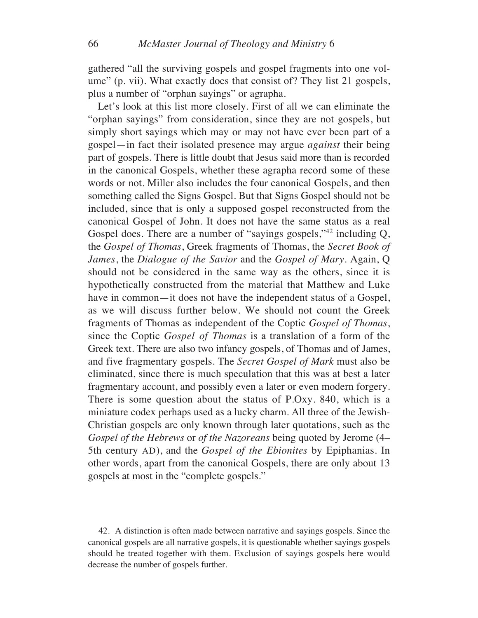gathered "all the surviving gospels and gospel fragments into one volume" (p. vii). What exactly does that consist of? They list 21 gospels, plus a number of "orphan sayings" or agrapha.

Let's look at this list more closely. First of all we can eliminate the "orphan sayings" from consideration, since they are not gospels, but simply short sayings which may or may not have ever been part of a gospel—in fact their isolated presence may argue *against* their being part of gospels. There is little doubt that Jesus said more than is recorded in the canonical Gospels, whether these agrapha record some of these words or not. Miller also includes the four canonical Gospels, and then something called the Signs Gospel. But that Signs Gospel should not be included, since that is only a supposed gospel reconstructed from the canonical Gospel of John. It does not have the same status as a real Gospel does. There are a number of "sayings gospels,"<sup>42</sup> including Q, the *Gospel of Thomas*, Greek fragments of Thomas, the *Secret Book of James*, the *Dialogue of the Savior* and the *Gospel of Mary*. Again, Q should not be considered in the same way as the others, since it is hypothetically constructed from the material that Matthew and Luke have in common—it does not have the independent status of a Gospel, as we will discuss further below. We should not count the Greek fragments of Thomas as independent of the Coptic *Gospel of Thomas*, since the Coptic *Gospel of Thomas* is a translation of a form of the Greek text. There are also two infancy gospels, of Thomas and of James, and five fragmentary gospels. The *Secret Gospel of Mark* must also be eliminated, since there is much speculation that this was at best a later fragmentary account, and possibly even a later or even modern forgery. There is some question about the status of P.Oxy. 840, which is a miniature codex perhaps used as a lucky charm. All three of the Jewish-Christian gospels are only known through later quotations, such as the *Gospel of the Hebrews* or *of the Nazoreans* being quoted by Jerome (4– 5th century AD), and the *Gospel of the Ebionites* by Epiphanias. In other words, apart from the canonical Gospels, there are only about 13 gospels at most in the "complete gospels."

42. A distinction is often made between narrative and sayings gospels. Since the canonical gospels are all narrative gospels, it is questionable whether sayings gospels should be treated together with them. Exclusion of sayings gospels here would decrease the number of gospels further.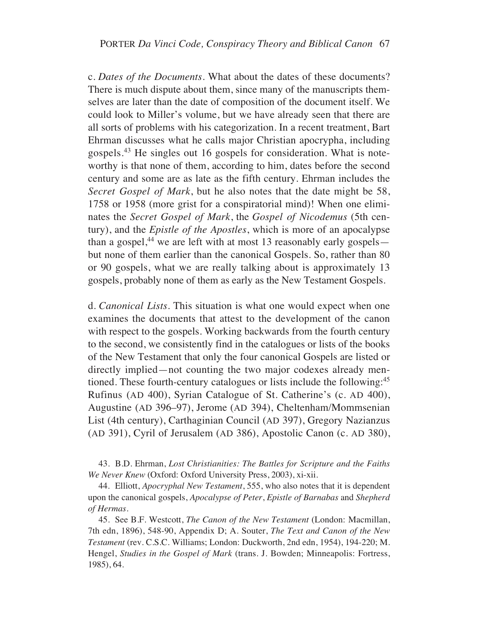c. *Dates of the Documents*. What about the dates of these documents? There is much dispute about them, since many of the manuscripts themselves are later than the date of composition of the document itself. We could look to Miller's volume, but we have already seen that there are all sorts of problems with his categorization. In a recent treatment, Bart Ehrman discusses what he calls major Christian apocrypha, including gospels.43 He singles out 16 gospels for consideration. What is noteworthy is that none of them, according to him, dates before the second century and some are as late as the fifth century. Ehrman includes the *Secret Gospel of Mark*, but he also notes that the date might be 58, 1758 or 1958 (more grist for a conspiratorial mind)! When one eliminates the *Secret Gospel of Mark*, the *Gospel of Nicodemus* (5th century), and the *Epistle of the Apostles*, which is more of an apocalypse than a gospel,<sup>44</sup> we are left with at most 13 reasonably early gospels but none of them earlier than the canonical Gospels. So, rather than 80 or 90 gospels, what we are really talking about is approximately 13 gospels, probably none of them as early as the New Testament Gospels.

d. *Canonical Lists*. This situation is what one would expect when one examines the documents that attest to the development of the canon with respect to the gospels. Working backwards from the fourth century to the second, we consistently find in the catalogues or lists of the books of the New Testament that only the four canonical Gospels are listed or directly implied—not counting the two major codexes already mentioned. These fourth-century catalogues or lists include the following:<sup>45</sup> Rufinus (AD 400), Syrian Catalogue of St. Catherine's (c. AD 400), Augustine (AD 396–97), Jerome (AD 394), Cheltenham/Mommsenian List (4th century), Carthaginian Council (AD 397), Gregory Nazianzus (AD 391), Cyril of Jerusalem (AD 386), Apostolic Canon (c. AD 380),

43. B.D. Ehrman, *Lost Christianities: The Battles for Scripture and the Faiths We Never Knew* (Oxford: Oxford University Press, 2003), xi-xii.

44. Elliott, *Apocryphal New Testament*, 555, who also notes that it is dependent upon the canonical gospels, *Apocalypse of Peter*, *Epistle of Barnabas* and *Shepherd of Hermas*.

45. See B.F. Westcott, *The Canon of the New Testament* (London: Macmillan, 7th edn, 1896), 548-90, Appendix D; A. Souter, *The Text and Canon of the New Testament* (rev. C.S.C. Williams; London: Duckworth, 2nd edn, 1954), 194-220; M. Hengel, *Studies in the Gospel of Mark* (trans. J. Bowden; Minneapolis: Fortress, 1985), 64.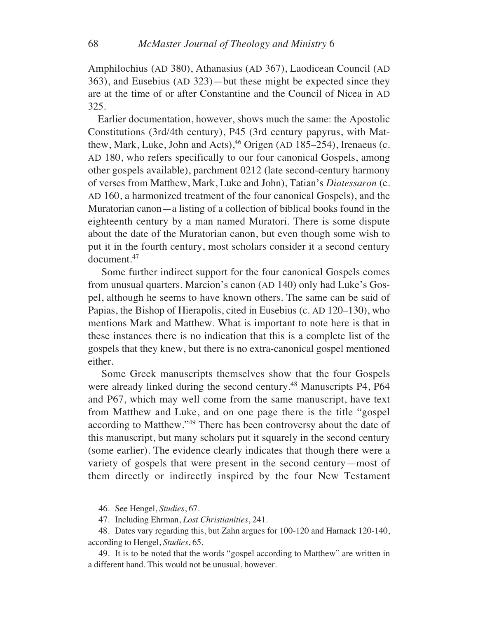Amphilochius (AD 380), Athanasius (AD 367), Laodicean Council (AD 363), and Eusebius (AD 323)—but these might be expected since they are at the time of or after Constantine and the Council of Nicea in AD 325.

Earlier documentation, however, shows much the same: the Apostolic Constitutions (3rd/4th century), P45 (3rd century papyrus, with Matthew, Mark, Luke, John and Acts), $46$  Origen (AD 185–254), Irenaeus (c. AD 180, who refers specifically to our four canonical Gospels, among other gospels available), parchment 0212 (late second-century harmony of verses from Matthew, Mark, Luke and John), Tatian's *Diatessaron* (c. AD 160, a harmonized treatment of the four canonical Gospels), and the Muratorian canon—a listing of a collection of biblical books found in the eighteenth century by a man named Muratori. There is some dispute about the date of the Muratorian canon, but even though some wish to put it in the fourth century, most scholars consider it a second century document.47

Some further indirect support for the four canonical Gospels comes from unusual quarters. Marcion's canon (AD 140) only had Luke's Gospel, although he seems to have known others. The same can be said of Papias, the Bishop of Hierapolis, cited in Eusebius (c. AD 120–130), who mentions Mark and Matthew. What is important to note here is that in these instances there is no indication that this is a complete list of the gospels that they knew, but there is no extra-canonical gospel mentioned either.

Some Greek manuscripts themselves show that the four Gospels were already linked during the second century.<sup>48</sup> Manuscripts P4, P64 and P67, which may well come from the same manuscript, have text from Matthew and Luke, and on one page there is the title "gospel according to Matthew."49 There has been controversy about the date of this manuscript, but many scholars put it squarely in the second century (some earlier). The evidence clearly indicates that though there were a variety of gospels that were present in the second century—most of them directly or indirectly inspired by the four New Testament

46. See Hengel, *Studies*, 67.

47. Including Ehrman, *Lost Christianities*, 241.

48. Dates vary regarding this, but Zahn argues for 100-120 and Harnack 120-140, according to Hengel, *Studies*, 65.

49. It is to be noted that the words "gospel according to Matthew" are written in a different hand. This would not be unusual, however.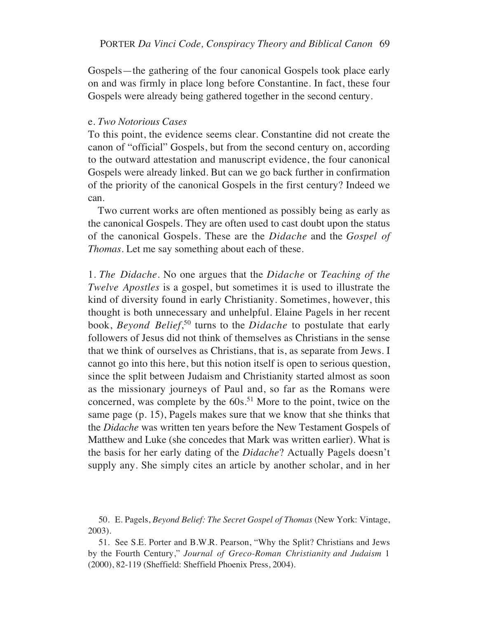Gospels—the gathering of the four canonical Gospels took place early on and was firmly in place long before Constantine. In fact, these four Gospels were already being gathered together in the second century.

#### e. *Two Notorious Cases*

To this point, the evidence seems clear. Constantine did not create the canon of "official" Gospels, but from the second century on, according to the outward attestation and manuscript evidence, the four canonical Gospels were already linked. But can we go back further in confirmation of the priority of the canonical Gospels in the first century? Indeed we can.

Two current works are often mentioned as possibly being as early as the canonical Gospels. They are often used to cast doubt upon the status of the canonical Gospels. These are the *Didache* and the *Gospel of Thomas*. Let me say something about each of these.

1. *The Didache*. No one argues that the *Didache* or *Teaching of the Twelve Apostles* is a gospel, but sometimes it is used to illustrate the kind of diversity found in early Christianity. Sometimes, however, this thought is both unnecessary and unhelpful. Elaine Pagels in her recent book, *Beyond Belief*, <sup>50</sup> turns to the *Didache* to postulate that early followers of Jesus did not think of themselves as Christians in the sense that we think of ourselves as Christians, that is, as separate from Jews. I cannot go into this here, but this notion itself is open to serious question, since the split between Judaism and Christianity started almost as soon as the missionary journeys of Paul and, so far as the Romans were concerned, was complete by the  $60s$ .<sup>51</sup> More to the point, twice on the same page (p. 15), Pagels makes sure that we know that she thinks that the *Didache* was written ten years before the New Testament Gospels of Matthew and Luke (she concedes that Mark was written earlier). What is the basis for her early dating of the *Didache*? Actually Pagels doesn't supply any. She simply cites an article by another scholar, and in her

<sup>50.</sup> E. Pagels, *Beyond Belief: The Secret Gospel of Thomas* (New York: Vintage, 2003).

<sup>51.</sup> See S.E. Porter and B.W.R. Pearson, "Why the Split? Christians and Jews by the Fourth Century," *Journal of Greco-Roman Christianity and Judaism* 1 (2000), 82-119 (Sheffield: Sheffield Phoenix Press, 2004).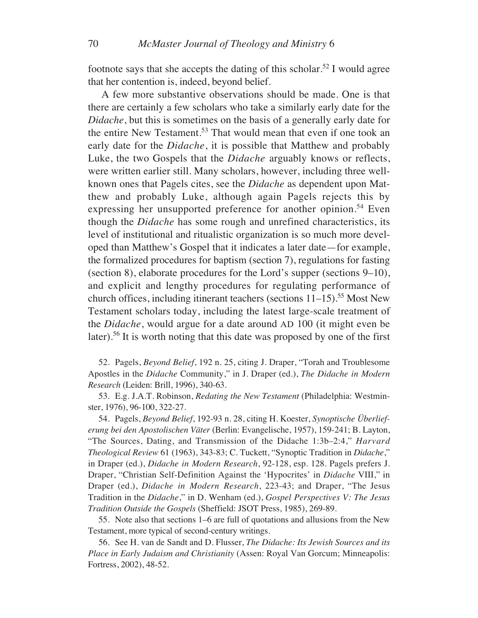footnote says that she accepts the dating of this scholar.<sup>52</sup> I would agree that her contention is, indeed, beyond belief.

A few more substantive observations should be made. One is that there are certainly a few scholars who take a similarly early date for the *Didache*, but this is sometimes on the basis of a generally early date for the entire New Testament.<sup>53</sup> That would mean that even if one took an early date for the *Didache*, it is possible that Matthew and probably Luke, the two Gospels that the *Didache* arguably knows or reflects, were written earlier still. Many scholars, however, including three wellknown ones that Pagels cites, see the *Didache* as dependent upon Matthew and probably Luke, although again Pagels rejects this by expressing her unsupported preference for another opinion.<sup>54</sup> Even though the *Didache* has some rough and unrefined characteristics, its level of institutional and ritualistic organization is so much more developed than Matthew's Gospel that it indicates a later date—for example, the formalized procedures for baptism (section 7), regulations for fasting (section 8), elaborate procedures for the Lord's supper (sections 9–10), and explicit and lengthy procedures for regulating performance of church offices, including itinerant teachers (sections  $11-15$ ).<sup>55</sup> Most New Testament scholars today, including the latest large-scale treatment of the *Didache*, would argue for a date around AD 100 (it might even be later).56 It is worth noting that this date was proposed by one of the first

52. Pagels, *Beyond Belief*, 192 n. 25, citing J. Draper, "Torah and Troublesome Apostles in the *Didache* Community," in J. Draper (ed.), *The Didache in Modern Research* (Leiden: Brill, 1996), 340-63.

53. E.g. J.A.T. Robinson, *Redating the New Testament* (Philadelphia: Westminster, 1976), 96-100, 322-27.

54. Pagels, *Beyond Belief*, 192-93 n. 28, citing H. Koester, *Synoptische Überlieferung bei den Apostolischen Väter* (Berlin: Evangelische, 1957), 159-241; B. Layton, "The Sources, Dating, and Transmission of the Didache 1:3b–2:4," *Harvard Theological Review* 61 (1963), 343-83; C. Tuckett, "Synoptic Tradition in *Didache*," in Draper (ed.), *Didache in Modern Research*, 92-128, esp. 128. Pagels prefers J. Draper, "Christian Self-Definition Against the 'Hypocrites' in *Didache* VIII," in Draper (ed.), *Didache in Modern Research*, 223-43; and Draper, "The Jesus Tradition in the *Didache*," in D. Wenham (ed.), *Gospel Perspectives V: The Jesus Tradition Outside the Gospels* (Sheffield: JSOT Press, 1985), 269-89.

55. Note also that sections 1–6 are full of quotations and allusions from the New Testament, more typical of second-century writings.

56. See H. van de Sandt and D. Flusser, *The Didache: Its Jewish Sources and its Place in Early Judaism and Christianity* (Assen: Royal Van Gorcum; Minneapolis: Fortress, 2002), 48-52.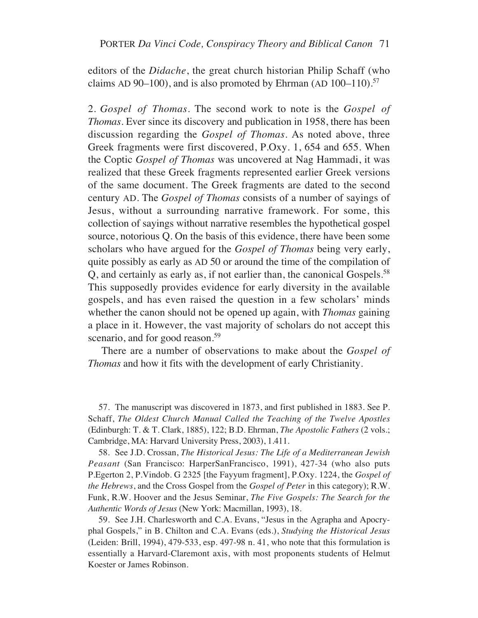editors of the *Didache*, the great church historian Philip Schaff (who claims AD 90–100), and is also promoted by Ehrman (AD  $100-110$ ).<sup>57</sup>

2. *Gospel of Thomas*. The second work to note is the *Gospel of Thomas*. Ever since its discovery and publication in 1958, there has been discussion regarding the *Gospel of Thomas*. As noted above, three Greek fragments were first discovered, P.Oxy. 1, 654 and 655. When the Coptic *Gospel of Thomas* was uncovered at Nag Hammadi, it was realized that these Greek fragments represented earlier Greek versions of the same document. The Greek fragments are dated to the second century AD. The *Gospel of Thomas* consists of a number of sayings of Jesus, without a surrounding narrative framework. For some, this collection of sayings without narrative resembles the hypothetical gospel source, notorious Q. On the basis of this evidence, there have been some scholars who have argued for the *Gospel of Thomas* being very early, quite possibly as early as AD 50 or around the time of the compilation of Q, and certainly as early as, if not earlier than, the canonical Gospels.<sup>58</sup> This supposedly provides evidence for early diversity in the available gospels, and has even raised the question in a few scholars' minds whether the canon should not be opened up again, with *Thomas* gaining a place in it. However, the vast majority of scholars do not accept this scenario, and for good reason.<sup>59</sup>

There are a number of observations to make about the *Gospel of Thomas* and how it fits with the development of early Christianity.

57. The manuscript was discovered in 1873, and first published in 1883. See P. Schaff, *The Oldest Church Manual Called the Teaching of the Twelve Apostles* (Edinburgh: T. & T. Clark, 1885), 122; B.D. Ehrman, *The Apostolic Fathers* (2 vols.; Cambridge, MA: Harvard University Press, 2003), 1.411.

58. See J.D. Crossan, *The Historical Jesus: The Life of a Mediterranean Jewish Peasant* (San Francisco: HarperSanFrancisco, 1991), 427-34 (who also puts P.Egerton 2, P.Vindob. G 2325 [the Fayyum fragment], P.Oxy. 1224, the *Gospel of the Hebrews*, and the Cross Gospel from the *Gospel of Peter* in this category); R.W. Funk, R.W. Hoover and the Jesus Seminar, *The Five Gospels: The Search for the Authentic Words of Jesus* (New York: Macmillan, 1993), 18.

59. See J.H. Charlesworth and C.A. Evans, "Jesus in the Agrapha and Apocryphal Gospels," in B. Chilton and C.A. Evans (eds.), *Studying the Historical Jesus* (Leiden: Brill, 1994), 479-533, esp. 497-98 n. 41, who note that this formulation is essentially a Harvard-Claremont axis, with most proponents students of Helmut Koester or James Robinson.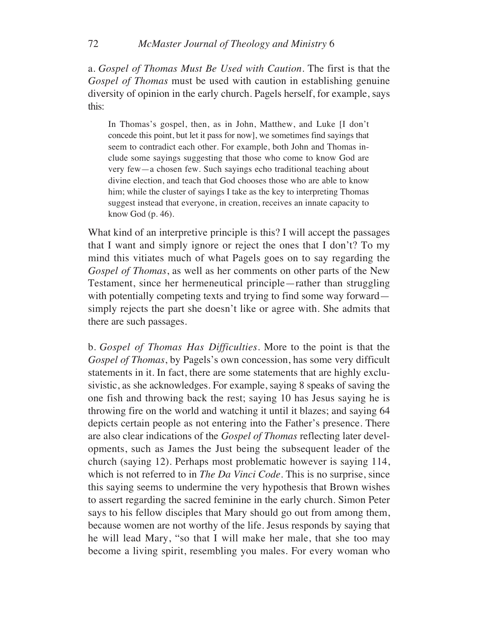### 72 *McMaster Journal of Theology and Ministry* 6

a. *Gospel of Thomas Must Be Used with Caution*. The first is that the *Gospel of Thomas* must be used with caution in establishing genuine diversity of opinion in the early church. Pagels herself, for example, says this:

In Thomas's gospel, then, as in John, Matthew, and Luke [I don't concede this point, but let it pass for now], we sometimes find sayings that seem to contradict each other. For example, both John and Thomas include some sayings suggesting that those who come to know God are very few—a chosen few. Such sayings echo traditional teaching about divine election, and teach that God chooses those who are able to know him; while the cluster of sayings I take as the key to interpreting Thomas suggest instead that everyone, in creation, receives an innate capacity to know God (p. 46).

What kind of an interpretive principle is this? I will accept the passages that I want and simply ignore or reject the ones that I don't? To my mind this vitiates much of what Pagels goes on to say regarding the *Gospel of Thomas*, as well as her comments on other parts of the New Testament, since her hermeneutical principle—rather than struggling with potentially competing texts and trying to find some way forward simply rejects the part she doesn't like or agree with. She admits that there are such passages.

b. *Gospel of Thomas Has Difficulties*. More to the point is that the *Gospel of Thomas*, by Pagels's own concession, has some very difficult statements in it. In fact, there are some statements that are highly exclusivistic, as she acknowledges. For example, saying 8 speaks of saving the one fish and throwing back the rest; saying 10 has Jesus saying he is throwing fire on the world and watching it until it blazes; and saying 64 depicts certain people as not entering into the Father's presence. There are also clear indications of the *Gospel of Thomas* reflecting later developments, such as James the Just being the subsequent leader of the church (saying 12). Perhaps most problematic however is saying 114, which is not referred to in *The Da Vinci Code*. This is no surprise, since this saying seems to undermine the very hypothesis that Brown wishes to assert regarding the sacred feminine in the early church. Simon Peter says to his fellow disciples that Mary should go out from among them, because women are not worthy of the life. Jesus responds by saying that he will lead Mary, "so that I will make her male, that she too may become a living spirit, resembling you males. For every woman who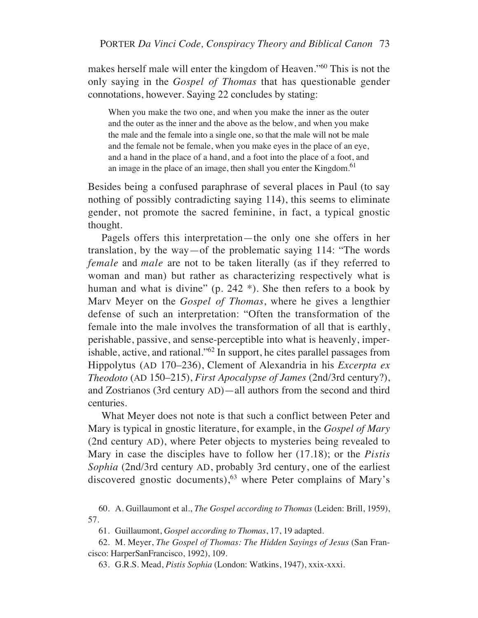makes herself male will enter the kingdom of Heaven."60 This is not the only saying in the *Gospel of Thomas* that has questionable gender connotations, however. Saying 22 concludes by stating:

When you make the two one, and when you make the inner as the outer and the outer as the inner and the above as the below, and when you make the male and the female into a single one, so that the male will not be male and the female not be female, when you make eyes in the place of an eye, and a hand in the place of a hand, and a foot into the place of a foot, and an image in the place of an image, then shall you enter the Kingdom.<sup>61</sup>

Besides being a confused paraphrase of several places in Paul (to say nothing of possibly contradicting saying 114), this seems to eliminate gender, not promote the sacred feminine, in fact, a typical gnostic thought.

Pagels offers this interpretation—the only one she offers in her translation, by the way—of the problematic saying 114: "The words *female* and *male* are not to be taken literally (as if they referred to woman and man) but rather as characterizing respectively what is human and what is divine" (p. 242 \*). She then refers to a book by Marv Meyer on the *Gospel of Thomas*, where he gives a lengthier defense of such an interpretation: "Often the transformation of the female into the male involves the transformation of all that is earthly, perishable, passive, and sense-perceptible into what is heavenly, imperishable, active, and rational."62 In support, he cites parallel passages from Hippolytus (AD 170–236), Clement of Alexandria in his *Excerpta ex Theodoto* (AD 150–215), *First Apocalypse of James* (2nd/3rd century?), and Zostrianos (3rd century AD)—all authors from the second and third centuries.

What Meyer does not note is that such a conflict between Peter and Mary is typical in gnostic literature, for example, in the *Gospel of Mary* (2nd century AD), where Peter objects to mysteries being revealed to Mary in case the disciples have to follow her (17.18); or the *Pistis Sophia* (2nd/3rd century AD, probably 3rd century, one of the earliest discovered gnostic documents),<sup>63</sup> where Peter complains of Mary's

60. A. Guillaumont et al., *The Gospel according to Thomas* (Leiden: Brill, 1959), 57.

61. Guillaumont, *Gospel according to Thomas*, 17, 19 adapted.

62. M. Meyer, *The Gospel of Thomas: The Hidden Sayings of Jesus* (San Francisco: HarperSanFrancisco, 1992), 109.

63. G.R.S. Mead, *Pistis Sophia* (London: Watkins, 1947), xxix-xxxi.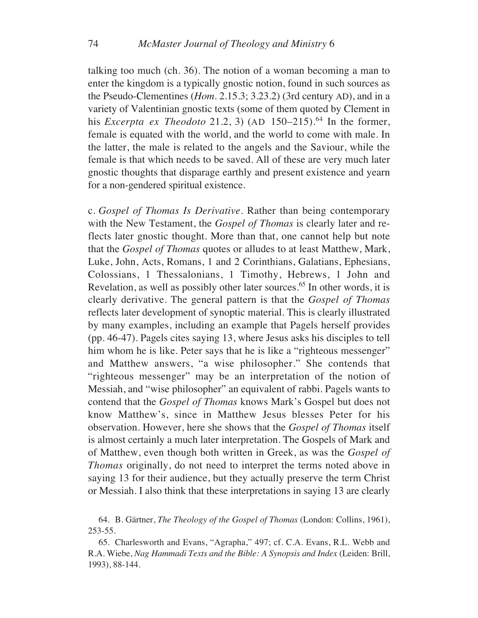talking too much (ch. 36). The notion of a woman becoming a man to enter the kingdom is a typically gnostic notion, found in such sources as the Pseudo-Clementines (*Hom*. 2.15.3; 3.23.2) (3rd century AD), and in a variety of Valentinian gnostic texts (some of them quoted by Clement in his *Excerpta ex Theodoto* 21.2, 3) (AD  $150-215$ ).<sup>64</sup> In the former, female is equated with the world, and the world to come with male. In the latter, the male is related to the angels and the Saviour, while the female is that which needs to be saved. All of these are very much later gnostic thoughts that disparage earthly and present existence and yearn for a non-gendered spiritual existence.

c. *Gospel of Thomas Is Derivative*. Rather than being contemporary with the New Testament, the *Gospel of Thomas* is clearly later and reflects later gnostic thought. More than that, one cannot help but note that the *Gospel of Thomas* quotes or alludes to at least Matthew, Mark, Luke, John, Acts, Romans, 1 and 2 Corinthians, Galatians, Ephesians, Colossians, 1 Thessalonians, 1 Timothy, Hebrews, 1 John and Revelation, as well as possibly other later sources.<sup>65</sup> In other words, it is clearly derivative. The general pattern is that the *Gospel of Thomas* reflects later development of synoptic material. This is clearly illustrated by many examples, including an example that Pagels herself provides (pp. 46-47). Pagels cites saying 13, where Jesus asks his disciples to tell him whom he is like. Peter says that he is like a "righteous messenger" and Matthew answers, "a wise philosopher." She contends that "righteous messenger" may be an interpretation of the notion of Messiah, and "wise philosopher" an equivalent of rabbi. Pagels wants to contend that the *Gospel of Thomas* knows Mark's Gospel but does not know Matthew's, since in Matthew Jesus blesses Peter for his observation. However, here she shows that the *Gospel of Thomas* itself is almost certainly a much later interpretation. The Gospels of Mark and of Matthew, even though both written in Greek, as was the *Gospel of Thomas* originally, do not need to interpret the terms noted above in saying 13 for their audience, but they actually preserve the term Christ or Messiah. I also think that these interpretations in saying 13 are clearly

<sup>64.</sup> B. Gärtner, *The Theology of the Gospel of Thomas* (London: Collins, 1961), 253-55.

<sup>65.</sup> Charlesworth and Evans, "Agrapha," 497; cf. C.A. Evans, R.L. Webb and R.A. Wiebe, *Nag Hammadi Texts and the Bible: A Synopsis and Index* (Leiden: Brill, 1993), 88-144.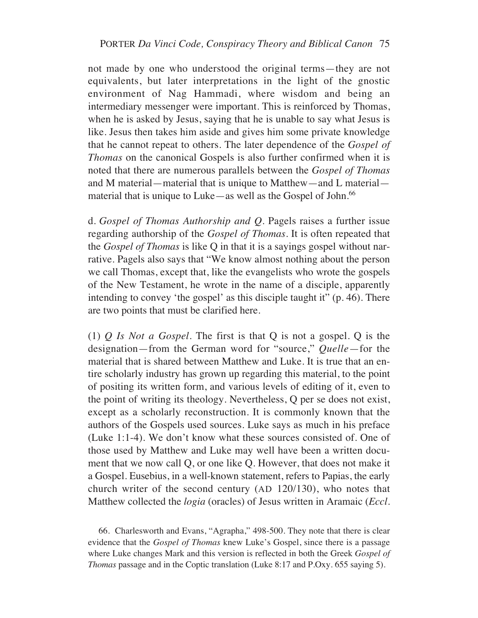not made by one who understood the original terms—they are not equivalents, but later interpretations in the light of the gnostic environment of Nag Hammadi, where wisdom and being an intermediary messenger were important. This is reinforced by Thomas, when he is asked by Jesus, saying that he is unable to say what Jesus is like. Jesus then takes him aside and gives him some private knowledge that he cannot repeat to others. The later dependence of the *Gospel of Thomas* on the canonical Gospels is also further confirmed when it is noted that there are numerous parallels between the *Gospel of Thomas* and M material—material that is unique to Matthew—and L material material that is unique to Luke—as well as the Gospel of John.<sup>66</sup>

d. *Gospel of Thomas Authorship and Q*. Pagels raises a further issue regarding authorship of the *Gospel of Thomas*. It is often repeated that the *Gospel of Thomas* is like Q in that it is a sayings gospel without narrative. Pagels also says that "We know almost nothing about the person we call Thomas, except that, like the evangelists who wrote the gospels of the New Testament, he wrote in the name of a disciple, apparently intending to convey 'the gospel' as this disciple taught it" (p. 46). There are two points that must be clarified here.

(1) *Q Is Not a Gospel*. The first is that Q is not a gospel. Q is the designation—from the German word for "source," *Quelle*—for the material that is shared between Matthew and Luke. It is true that an entire scholarly industry has grown up regarding this material, to the point of positing its written form, and various levels of editing of it, even to the point of writing its theology. Nevertheless, Q per se does not exist, except as a scholarly reconstruction. It is commonly known that the authors of the Gospels used sources. Luke says as much in his preface (Luke 1:1-4). We don't know what these sources consisted of. One of those used by Matthew and Luke may well have been a written document that we now call Q, or one like Q. However, that does not make it a Gospel. Eusebius, in a well-known statement, refers to Papias, the early church writer of the second century (AD 120/130), who notes that Matthew collected the *logia* (oracles) of Jesus written in Aramaic (*Eccl.*

66. Charlesworth and Evans, "Agrapha," 498-500. They note that there is clear evidence that the *Gospel of Thomas* knew Luke's Gospel, since there is a passage where Luke changes Mark and this version is reflected in both the Greek *Gospel of Thomas* passage and in the Coptic translation (Luke 8:17 and P.Oxy. 655 saying 5).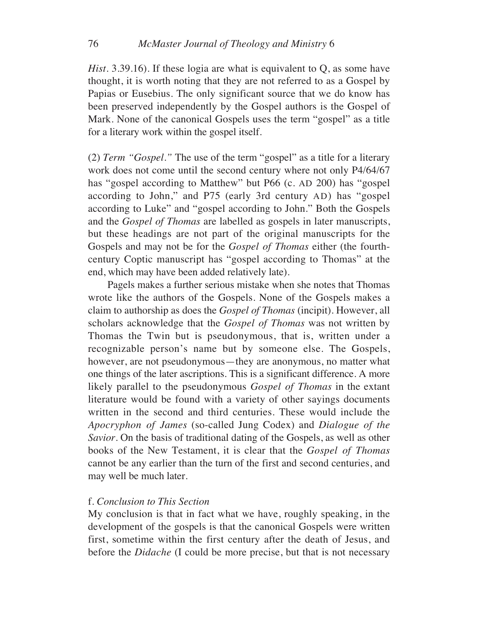*Hist*. 3.39.16). If these logia are what is equivalent to Q, as some have thought, it is worth noting that they are not referred to as a Gospel by Papias or Eusebius. The only significant source that we do know has been preserved independently by the Gospel authors is the Gospel of Mark. None of the canonical Gospels uses the term "gospel" as a title for a literary work within the gospel itself.

(2) *Term "Gospel*.*"* The use of the term "gospel" as a title for a literary work does not come until the second century where not only P4/64/67 has "gospel according to Matthew" but P66 (c. AD 200) has "gospel according to John," and P75 (early 3rd century AD) has "gospel according to Luke" and "gospel according to John." Both the Gospels and the *Gospel of Thomas* are labelled as gospels in later manuscripts, but these headings are not part of the original manuscripts for the Gospels and may not be for the *Gospel of Thomas* either (the fourthcentury Coptic manuscript has "gospel according to Thomas" at the end, which may have been added relatively late).

Pagels makes a further serious mistake when she notes that Thomas wrote like the authors of the Gospels. None of the Gospels makes a claim to authorship as does the *Gospel of Thomas* (incipit). However, all scholars acknowledge that the *Gospel of Thomas* was not written by Thomas the Twin but is pseudonymous, that is, written under a recognizable person's name but by someone else. The Gospels, however, are not pseudonymous—they are anonymous, no matter what one things of the later ascriptions. This is a significant difference. A more likely parallel to the pseudonymous *Gospel of Thomas* in the extant literature would be found with a variety of other sayings documents written in the second and third centuries. These would include the *Apocryphon of James* (so-called Jung Codex) and *Dialogue of the Savior*. On the basis of traditional dating of the Gospels, as well as other books of the New Testament, it is clear that the *Gospel of Thomas* cannot be any earlier than the turn of the first and second centuries, and may well be much later.

### f. *Conclusion to This Section*

My conclusion is that in fact what we have, roughly speaking, in the development of the gospels is that the canonical Gospels were written first, sometime within the first century after the death of Jesus, and before the *Didache* (I could be more precise, but that is not necessary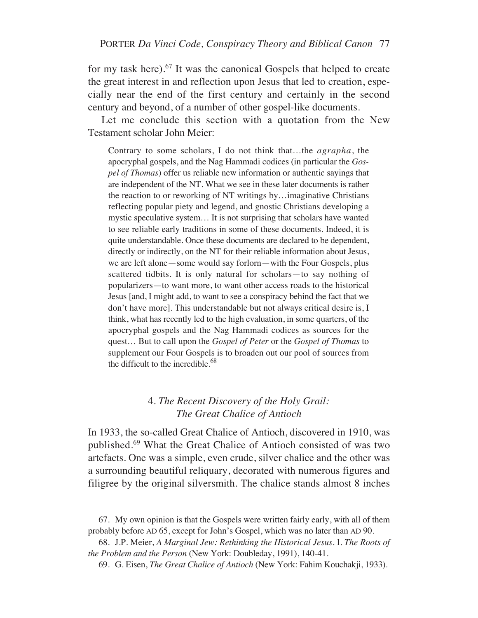for my task here).67 It was the canonical Gospels that helped to create the great interest in and reflection upon Jesus that led to creation, especially near the end of the first century and certainly in the second century and beyond, of a number of other gospel-like documents.

Let me conclude this section with a quotation from the New Testament scholar John Meier:

Contrary to some scholars, I do not think that…the *agrapha*, the apocryphal gospels, and the Nag Hammadi codices (in particular the *Gospel of Thomas*) offer us reliable new information or authentic sayings that are independent of the NT. What we see in these later documents is rather the reaction to or reworking of NT writings by…imaginative Christians reflecting popular piety and legend, and gnostic Christians developing a mystic speculative system… It is not surprising that scholars have wanted to see reliable early traditions in some of these documents. Indeed, it is quite understandable. Once these documents are declared to be dependent, directly or indirectly, on the NT for their reliable information about Jesus, we are left alone—some would say forlorn—with the Four Gospels, plus scattered tidbits. It is only natural for scholars—to say nothing of popularizers—to want more, to want other access roads to the historical Jesus [and, I might add, to want to see a conspiracy behind the fact that we don't have more]. This understandable but not always critical desire is, I think, what has recently led to the high evaluation, in some quarters, of the apocryphal gospels and the Nag Hammadi codices as sources for the quest… But to call upon the *Gospel of Peter* or the *Gospel of Thomas* to supplement our Four Gospels is to broaden out our pool of sources from the difficult to the incredible. $^{68}$ 

## 4. *The Recent Discovery of the Holy Grail: The Great Chalice of Antioch*

In 1933, the so-called Great Chalice of Antioch, discovered in 1910, was published.69 What the Great Chalice of Antioch consisted of was two artefacts. One was a simple, even crude, silver chalice and the other was a surrounding beautiful reliquary, decorated with numerous figures and filigree by the original silversmith. The chalice stands almost 8 inches

<sup>67.</sup> My own opinion is that the Gospels were written fairly early, with all of them probably before AD 65, except for John's Gospel, which was no later than AD 90.

<sup>68.</sup> J.P. Meier, *A Marginal Jew: Rethinking the Historical Jesus*. I. *The Roots of the Problem and the Person* (New York: Doubleday, 1991), 140-41.

<sup>69.</sup> G. Eisen, *The Great Chalice of Antioch* (New York: Fahim Kouchakji, 1933).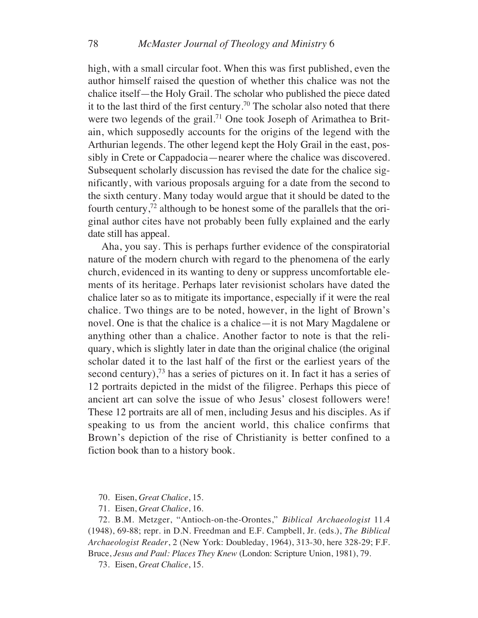high, with a small circular foot. When this was first published, even the author himself raised the question of whether this chalice was not the chalice itself—the Holy Grail. The scholar who published the piece dated it to the last third of the first century.<sup>70</sup> The scholar also noted that there were two legends of the grail.<sup>71</sup> One took Joseph of Arimathea to Britain, which supposedly accounts for the origins of the legend with the Arthurian legends. The other legend kept the Holy Grail in the east, possibly in Crete or Cappadocia—nearer where the chalice was discovered. Subsequent scholarly discussion has revised the date for the chalice significantly, with various proposals arguing for a date from the second to the sixth century. Many today would argue that it should be dated to the fourth century, $72$  although to be honest some of the parallels that the original author cites have not probably been fully explained and the early date still has appeal.

Aha, you say. This is perhaps further evidence of the conspiratorial nature of the modern church with regard to the phenomena of the early church, evidenced in its wanting to deny or suppress uncomfortable elements of its heritage. Perhaps later revisionist scholars have dated the chalice later so as to mitigate its importance, especially if it were the real chalice. Two things are to be noted, however, in the light of Brown's novel. One is that the chalice is a chalice—it is not Mary Magdalene or anything other than a chalice. Another factor to note is that the reliquary, which is slightly later in date than the original chalice (the original scholar dated it to the last half of the first or the earliest years of the second century), $73$  has a series of pictures on it. In fact it has a series of 12 portraits depicted in the midst of the filigree. Perhaps this piece of ancient art can solve the issue of who Jesus' closest followers were! These 12 portraits are all of men, including Jesus and his disciples. As if speaking to us from the ancient world, this chalice confirms that Brown's depiction of the rise of Christianity is better confined to a fiction book than to a history book.

70. Eisen, *Great Chalice*, 15.

71. Eisen, *Great Chalice*, 16.

72. B.M. Metzger, "Antioch-on-the-Orontes," *Biblical Archaeologist* 11.4 (1948), 69-88; repr. in D.N. Freedman and E.F. Campbell, Jr. (eds.), *The Biblical Archaeologist Reader*, 2 (New York: Doubleday, 1964), 313-30, here 328-29; F.F. Bruce, *Jesus and Paul: Places They Knew* (London: Scripture Union, 1981), 79.

73. Eisen, *Great Chalice*, 15.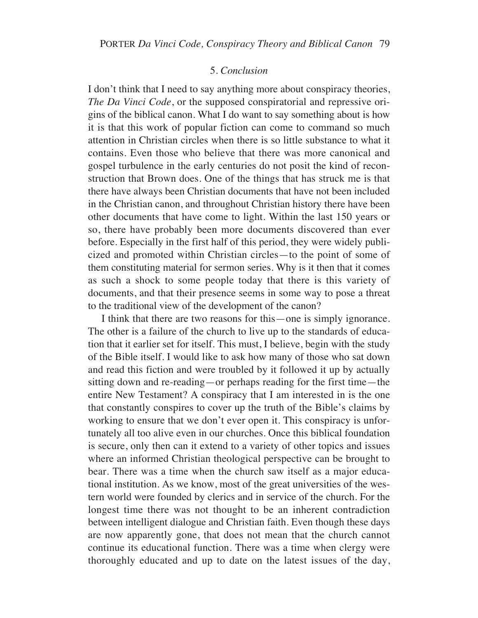### 5. *Conclusion*

I don't think that I need to say anything more about conspiracy theories, *The Da Vinci Code*, or the supposed conspiratorial and repressive origins of the biblical canon. What I do want to say something about is how it is that this work of popular fiction can come to command so much attention in Christian circles when there is so little substance to what it contains. Even those who believe that there was more canonical and gospel turbulence in the early centuries do not posit the kind of reconstruction that Brown does. One of the things that has struck me is that there have always been Christian documents that have not been included in the Christian canon, and throughout Christian history there have been other documents that have come to light. Within the last 150 years or so, there have probably been more documents discovered than ever before. Especially in the first half of this period, they were widely publicized and promoted within Christian circles—to the point of some of them constituting material for sermon series. Why is it then that it comes as such a shock to some people today that there is this variety of documents, and that their presence seems in some way to pose a threat to the traditional view of the development of the canon?

I think that there are two reasons for this—one is simply ignorance. The other is a failure of the church to live up to the standards of education that it earlier set for itself. This must, I believe, begin with the study of the Bible itself. I would like to ask how many of those who sat down and read this fiction and were troubled by it followed it up by actually sitting down and re-reading—or perhaps reading for the first time—the entire New Testament? A conspiracy that I am interested in is the one that constantly conspires to cover up the truth of the Bible's claims by working to ensure that we don't ever open it. This conspiracy is unfortunately all too alive even in our churches. Once this biblical foundation is secure, only then can it extend to a variety of other topics and issues where an informed Christian theological perspective can be brought to bear. There was a time when the church saw itself as a major educational institution. As we know, most of the great universities of the western world were founded by clerics and in service of the church. For the longest time there was not thought to be an inherent contradiction between intelligent dialogue and Christian faith. Even though these days are now apparently gone, that does not mean that the church cannot continue its educational function. There was a time when clergy were thoroughly educated and up to date on the latest issues of the day,